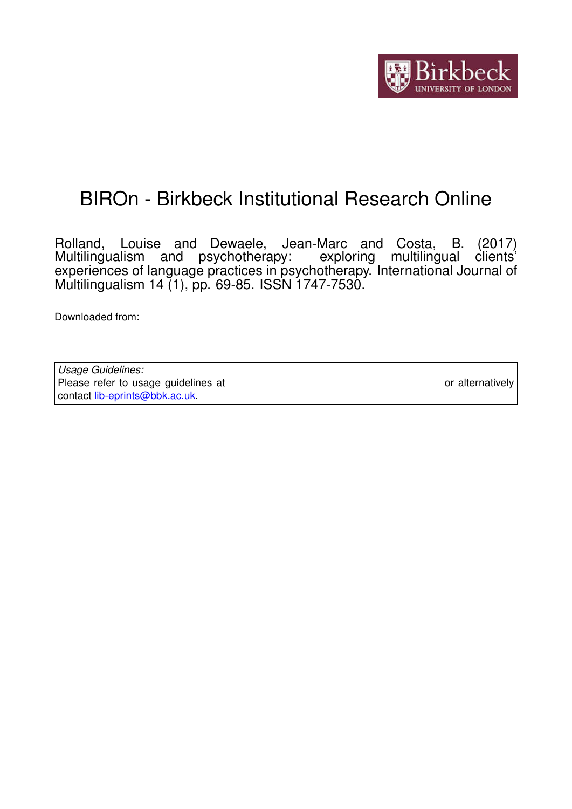

# BIROn - Birkbeck Institutional Research Online

Rolland, Louise and Dewaele, Jean-Marc and Costa, B. (2017) Multilingualism and psychotherapy: exploring multilingual experiences of language practices in psychotherapy. International Journal of Multilingualism 14 (1), pp. 69-85. ISSN 1747-7530.

Downloaded from: <https://eprints.bbk.ac.uk/id/eprint/17869/>

*Usage Guidelines:* Please refer to usage guidelines at <https://eprints.bbk.ac.uk/policies.html> or alternatively contact [lib-eprints@bbk.ac.uk.](mailto:lib-eprints@bbk.ac.uk)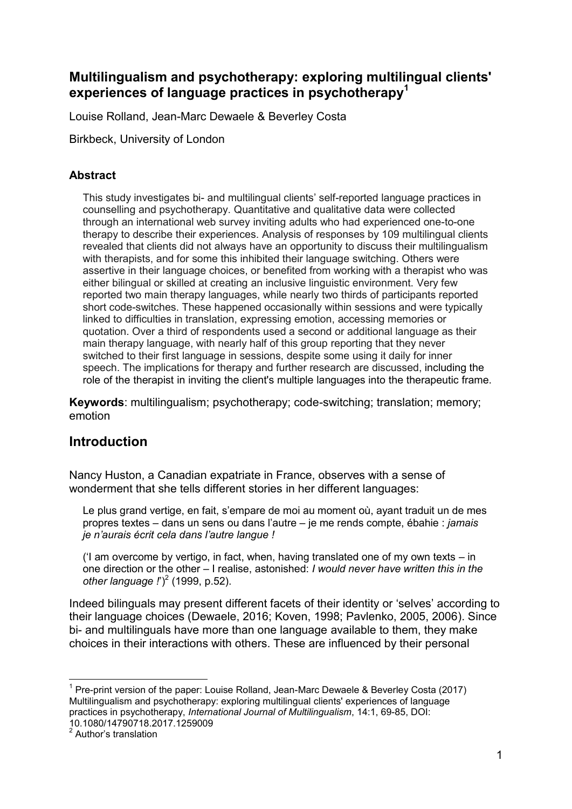# **Multilingualism and psychotherapy: exploring multilingual clients' experiences of language practices in psychotherapy<sup>1</sup>**

Louise Rolland, Jean-Marc Dewaele & Beverley Costa

Birkbeck, University of London

## **Abstract**

This study investigates bi- and multilingual clients' self-reported language practices in counselling and psychotherapy. Quantitative and qualitative data were collected through an international web survey inviting adults who had experienced one-to-one therapy to describe their experiences. Analysis of responses by 109 multilingual clients revealed that clients did not always have an opportunity to discuss their multilingualism with therapists, and for some this inhibited their language switching. Others were assertive in their language choices, or benefited from working with a therapist who was either bilingual or skilled at creating an inclusive linguistic environment. Very few reported two main therapy languages, while nearly two thirds of participants reported short code-switches. These happened occasionally within sessions and were typically linked to difficulties in translation, expressing emotion, accessing memories or quotation. Over a third of respondents used a second or additional language as their main therapy language, with nearly half of this group reporting that they never switched to their first language in sessions, despite some using it daily for inner speech. The implications for therapy and further research are discussed, including the role of the therapist in inviting the client's multiple languages into the therapeutic frame.

**Keywords**: multilingualism; psychotherapy; code-switching; translation; memory; emotion

## **Introduction**

Nancy Huston, a Canadian expatriate in France, observes with a sense of wonderment that she tells different stories in her different languages:

Le plus grand vertige, en fait, s'empare de moi au moment où, ayant traduit un de mes propres textes – dans un sens ou dans l'autre – je me rends compte, ébahie : *jamais je n'aurais écrit cela dans l'autre langue !*

( $\alpha$  am overcome by vertigo, in fact, when, having translated one of my own texts  $-\beta$  in one direction or the other – I realise, astonished: *I would never have written this in the other language !*') 2 (1999, p.52).

Indeed bilinguals may present different facets of their identity or 'selves' according to their language choices (Dewaele, 2016; Koven, 1998; Pavlenko, 2005, 2006). Since bi- and multilinguals have more than one language available to them, they make choices in their interactions with others. These are influenced by their personal

<sup>1</sup>  $1$  Pre-print version of the paper: Louise Rolland, Jean-Marc Dewaele & Beverley Costa (2017) Multilingualism and psychotherapy: exploring multilingual clients' experiences of language practices in psychotherapy, *International Journal of Multilingualism*, 14:1, 69-85, DOI:

<sup>10.1080/14790718.2017.1259009</sup> 2 Author's translation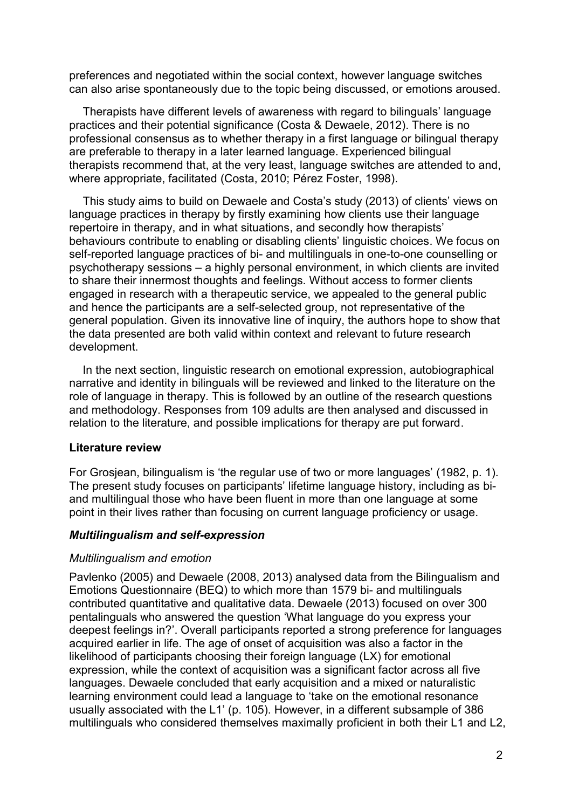preferences and negotiated within the social context, however language switches can also arise spontaneously due to the topic being discussed, or emotions aroused.

Therapists have different levels of awareness with regard to bilinguals' language practices and their potential significance (Costa & Dewaele, 2012). There is no professional consensus as to whether therapy in a first language or bilingual therapy are preferable to therapy in a later learned language. Experienced bilingual therapists recommend that, at the very least, language switches are attended to and, where appropriate, facilitated (Costa, 2010; Pérez Foster, 1998).

This study aims to build on Dewaele and Costa's study (2013) of clients' views on language practices in therapy by firstly examining how clients use their language repertoire in therapy, and in what situations, and secondly how therapists' behaviours contribute to enabling or disabling clients' linguistic choices. We focus on self-reported language practices of bi- and multilinguals in one-to-one counselling or psychotherapy sessions – a highly personal environment, in which clients are invited to share their innermost thoughts and feelings. Without access to former clients engaged in research with a therapeutic service, we appealed to the general public and hence the participants are a self-selected group, not representative of the general population. Given its innovative line of inquiry, the authors hope to show that the data presented are both valid within context and relevant to future research development.

In the next section, linguistic research on emotional expression, autobiographical narrative and identity in bilinguals will be reviewed and linked to the literature on the role of language in therapy. This is followed by an outline of the research questions and methodology. Responses from 109 adults are then analysed and discussed in relation to the literature, and possible implications for therapy are put forward.

#### **Literature review**

For Grosjean, bilingualism is 'the regular use of two or more languages' (1982, p. 1). The present study focuses on participants' lifetime language history, including as biand multilingual those who have been fluent in more than one language at some point in their lives rather than focusing on current language proficiency or usage.

## *Multilingualism and self-expression*

#### *Multilingualism and emotion*

Pavlenko (2005) and Dewaele (2008, 2013) analysed data from the Bilingualism and Emotions Questionnaire (BEQ) to which more than 1579 bi- and multilinguals contributed quantitative and qualitative data. Dewaele (2013) focused on over 300 pentalinguals who answered the question 'What language do you express your deepest feelings in?'. Overall participants reported a strong preference for languages acquired earlier in life. The age of onset of acquisition was also a factor in the likelihood of participants choosing their foreign language (LX) for emotional expression, while the context of acquisition was a significant factor across all five languages. Dewaele concluded that early acquisition and a mixed or naturalistic learning environment could lead a language to 'take on the emotional resonance usually associated with the L1' (p. 105). However, in a different subsample of 386 multilinguals who considered themselves maximally proficient in both their L1 and L2,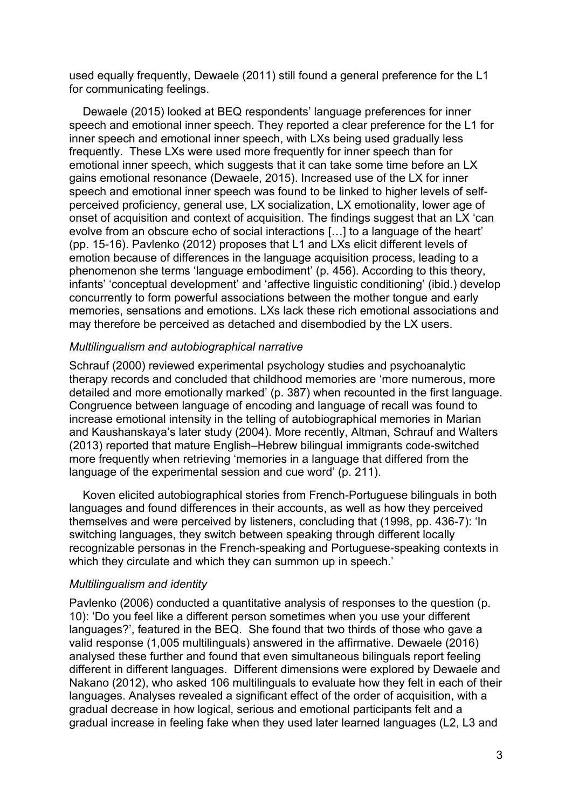used equally frequently, Dewaele (2011) still found a general preference for the L1 for communicating feelings.

Dewaele (2015) looked at BEQ respondents' language preferences for inner speech and emotional inner speech. They reported a clear preference for the L1 for inner speech and emotional inner speech, with LXs being used gradually less frequently. These LXs were used more frequently for inner speech than for emotional inner speech, which suggests that it can take some time before an LX gains emotional resonance (Dewaele, 2015). Increased use of the LX for inner speech and emotional inner speech was found to be linked to higher levels of selfperceived proficiency, general use, LX socialization, LX emotionality, lower age of onset of acquisition and context of acquisition. The findings suggest that an LX 'can evolve from an obscure echo of social interactions […] to a language of the heart' (pp. 15-16). Pavlenko (2012) proposes that L1 and LXs elicit different levels of emotion because of differences in the language acquisition process, leading to a phenomenon she terms 'language embodiment' (p. 456). According to this theory, infants' 'conceptual development' and 'affective linguistic conditioning' (ibid.) develop concurrently to form powerful associations between the mother tongue and early memories, sensations and emotions. LXs lack these rich emotional associations and may therefore be perceived as detached and disembodied by the LX users.

#### *Multilingualism and autobiographical narrative*

Schrauf (2000) reviewed experimental psychology studies and psychoanalytic therapy records and concluded that childhood memories are 'more numerous, more detailed and more emotionally marked' (p. 387) when recounted in the first language. Congruence between language of encoding and language of recall was found to increase emotional intensity in the telling of autobiographical memories in Marian and Kaushanskaya's later study (2004). More recently, Altman, Schrauf and Walters (2013) reported that mature English–Hebrew bilingual immigrants code-switched more frequently when retrieving 'memories in a language that differed from the language of the experimental session and cue word' (p. 211).

Koven elicited autobiographical stories from French-Portuguese bilinguals in both languages and found differences in their accounts, as well as how they perceived themselves and were perceived by listeners, concluding that (1998, pp. 436-7): 'In switching languages, they switch between speaking through different locally recognizable personas in the French-speaking and Portuguese-speaking contexts in which they circulate and which they can summon up in speech.'

## *Multilingualism and identity*

Pavlenko (2006) conducted a quantitative analysis of responses to the question (p. 10): 'Do you feel like a different person sometimes when you use your different languages?', featured in the BEQ. She found that two thirds of those who gave a valid response (1,005 multilinguals) answered in the affirmative. Dewaele (2016) analysed these further and found that even simultaneous bilinguals report feeling different in different languages. Different dimensions were explored by Dewaele and Nakano (2012), who asked 106 multilinguals to evaluate how they felt in each of their languages. Analyses revealed a significant effect of the order of acquisition, with a gradual decrease in how logical, serious and emotional participants felt and a gradual increase in feeling fake when they used later learned languages (L2, L3 and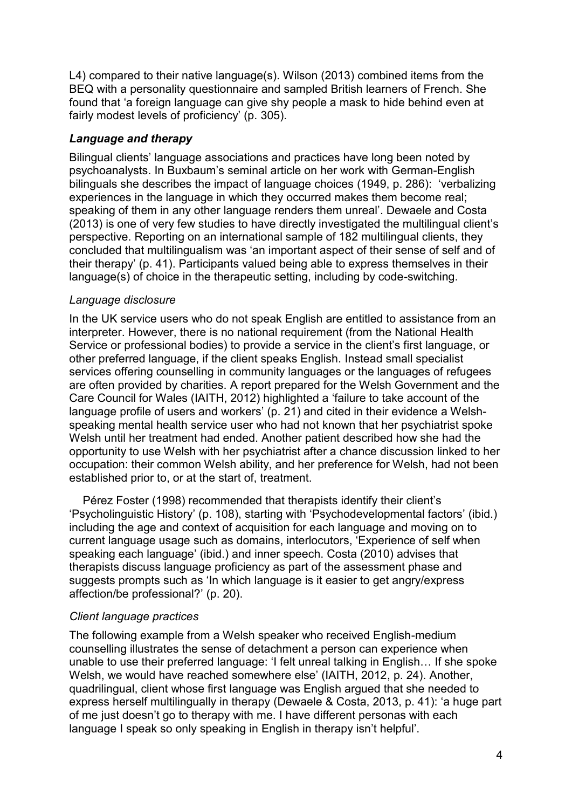L4) compared to their native language(s). Wilson (2013) combined items from the BEQ with a personality questionnaire and sampled British learners of French. She found that 'a foreign language can give shy people a mask to hide behind even at fairly modest levels of proficiency' (p. 305).

## *Language and therapy*

Bilingual clients' language associations and practices have long been noted by psychoanalysts. In Buxbaum's seminal article on her work with German-English bilinguals she describes the impact of language choices (1949, p. 286): 'verbalizing experiences in the language in which they occurred makes them become real; speaking of them in any other language renders them unreal'. Dewaele and Costa (2013) is one of very few studies to have directly investigated the multilingual client's perspective. Reporting on an international sample of 182 multilingual clients, they concluded that multilingualism was 'an important aspect of their sense of self and of their therapy' (p. 41). Participants valued being able to express themselves in their language(s) of choice in the therapeutic setting, including by code-switching.

## *Language disclosure*

In the UK service users who do not speak English are entitled to assistance from an interpreter. However, there is no national requirement (from the National Health Service or professional bodies) to provide a service in the client's first language, or other preferred language, if the client speaks English. Instead small specialist services offering counselling in community languages or the languages of refugees are often provided by charities. A report prepared for the Welsh Government and the Care Council for Wales (IAITH, 2012) highlighted a 'failure to take account of the language profile of users and workers' (p. 21) and cited in their evidence a Welshspeaking mental health service user who had not known that her psychiatrist spoke Welsh until her treatment had ended. Another patient described how she had the opportunity to use Welsh with her psychiatrist after a chance discussion linked to her occupation: their common Welsh ability, and her preference for Welsh, had not been established prior to, or at the start of, treatment.

Pérez Foster (1998) recommended that therapists identify their client's 'Psycholinguistic History' (p. 108), starting with 'Psychodevelopmental factors' (ibid.) including the age and context of acquisition for each language and moving on to current language usage such as domains, interlocutors, 'Experience of self when speaking each language' (ibid.) and inner speech. Costa (2010) advises that therapists discuss language proficiency as part of the assessment phase and suggests prompts such as 'In which language is it easier to get angry/express affection/be professional?' (p. 20).

## *Client language practices*

The following example from a Welsh speaker who received English-medium counselling illustrates the sense of detachment a person can experience when unable to use their preferred language: 'I felt unreal talking in English… If she spoke Welsh, we would have reached somewhere else' (IAITH, 2012, p. 24). Another, quadrilingual, client whose first language was English argued that she needed to express herself multilingually in therapy (Dewaele & Costa, 2013, p. 41): 'a huge part of me just doesn't go to therapy with me. I have different personas with each language I speak so only speaking in English in therapy isn't helpful'.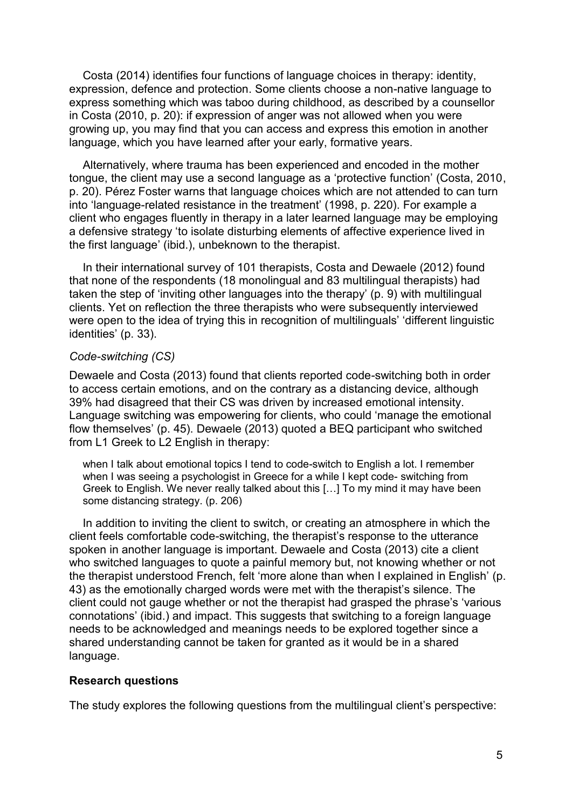Costa (2014) identifies four functions of language choices in therapy: identity, expression, defence and protection. Some clients choose a non-native language to express something which was taboo during childhood, as described by a counsellor in Costa (2010, p. 20): if expression of anger was not allowed when you were growing up, you may find that you can access and express this emotion in another language, which you have learned after your early, formative years.

Alternatively, where trauma has been experienced and encoded in the mother tongue, the client may use a second language as a 'protective function' (Costa, 2010, p. 20). Pérez Foster warns that language choices which are not attended to can turn into 'language-related resistance in the treatment' (1998, p. 220). For example a client who engages fluently in therapy in a later learned language may be employing a defensive strategy 'to isolate disturbing elements of affective experience lived in the first language' (ibid.), unbeknown to the therapist.

In their international survey of 101 therapists, Costa and Dewaele (2012) found that none of the respondents (18 monolingual and 83 multilingual therapists) had taken the step of 'inviting other languages into the therapy' (p. 9) with multilingual clients. Yet on reflection the three therapists who were subsequently interviewed were open to the idea of trying this in recognition of multilinguals' 'different linguistic identities' (p. 33).

#### *Code-switching (CS)*

Dewaele and Costa (2013) found that clients reported code-switching both in order to access certain emotions, and on the contrary as a distancing device, although 39% had disagreed that their CS was driven by increased emotional intensity. Language switching was empowering for clients, who could 'manage the emotional flow themselves' (p. 45). Dewaele (2013) quoted a BEQ participant who switched from L1 Greek to L2 English in therapy:

when I talk about emotional topics I tend to code-switch to English a lot. I remember when I was seeing a psychologist in Greece for a while I kept code- switching from Greek to English. We never really talked about this […] To my mind it may have been some distancing strategy. (p. 206)

In addition to inviting the client to switch, or creating an atmosphere in which the client feels comfortable code-switching, the therapist's response to the utterance spoken in another language is important. Dewaele and Costa (2013) cite a client who switched languages to quote a painful memory but, not knowing whether or not the therapist understood French, felt 'more alone than when I explained in English' (p. 43) as the emotionally charged words were met with the therapist's silence. The client could not gauge whether or not the therapist had grasped the phrase's 'various connotations' (ibid.) and impact. This suggests that switching to a foreign language needs to be acknowledged and meanings needs to be explored together since a shared understanding cannot be taken for granted as it would be in a shared language.

#### **Research questions**

The study explores the following questions from the multilingual client's perspective: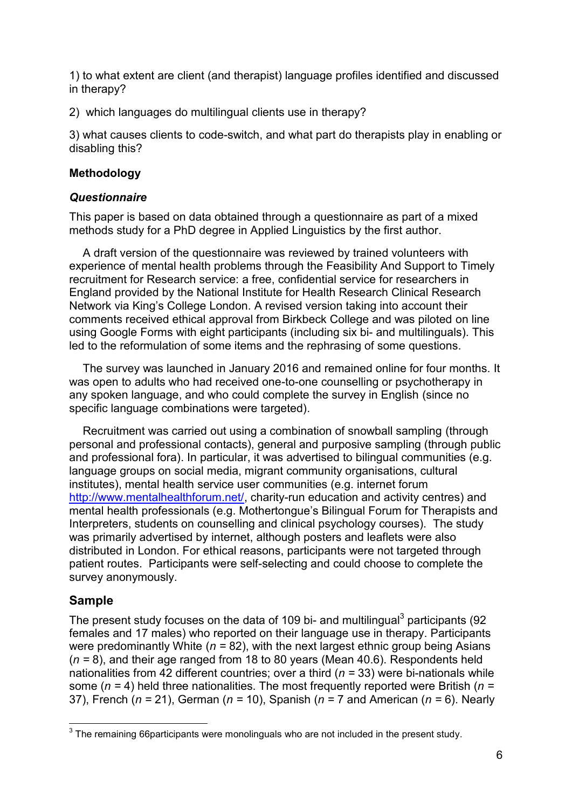1) to what extent are client (and therapist) language profiles identified and discussed in therapy?

2) which languages do multilingual clients use in therapy?

3) what causes clients to code-switch, and what part do therapists play in enabling or disabling this?

## **Methodology**

## *Questionnaire*

This paper is based on data obtained through a questionnaire as part of a mixed methods study for a PhD degree in Applied Linguistics by the first author.

A draft version of the questionnaire was reviewed by trained volunteers with experience of mental health problems through the Feasibility And Support to Timely recruitment for Research service: a free, confidential service for researchers in England provided by the National Institute for Health Research Clinical Research Network via King's College London. A revised version taking into account their comments received ethical approval from Birkbeck College and was piloted on line using Google Forms with eight participants (including six bi- and multilinguals). This led to the reformulation of some items and the rephrasing of some questions.

The survey was launched in January 2016 and remained online for four months. It was open to adults who had received one-to-one counselling or psychotherapy in any spoken language, and who could complete the survey in English (since no specific language combinations were targeted).

Recruitment was carried out using a combination of snowball sampling (through personal and professional contacts), general and purposive sampling (through public and professional fora). In particular, it was advertised to bilingual communities (e.g. language groups on social media, migrant community organisations, cultural institutes), mental health service user communities (e.g. internet forum [http://www.mentalhealthforum.net/,](http://www.mentalhealthforum.net/) charity-run education and activity centres) and mental health professionals (e.g. Mothertongue's Bilingual Forum for Therapists and Interpreters, students on counselling and clinical psychology courses). The study was primarily advertised by internet, although posters and leaflets were also distributed in London. For ethical reasons, participants were not targeted through patient routes. Participants were self-selecting and could choose to complete the survey anonymously.

## **Sample**

The present study focuses on the data of 109 bi- and multilingual<sup>3</sup> participants (92 females and 17 males) who reported on their language use in therapy. Participants were predominantly White (*n =* 82), with the next largest ethnic group being Asians (*n =* 8), and their age ranged from 18 to 80 years (Mean 40.6). Respondents held nationalities from 42 different countries; over a third (*n =* 33) were bi-nationals while some (*n =* 4) held three nationalities. The most frequently reported were British (*n =* 37), French (*n =* 21), German (*n =* 10), Spanish (*n =* 7 and American (*n =* 6). Nearly

 3 The remaining 66participants were monolinguals who are not included in the present study.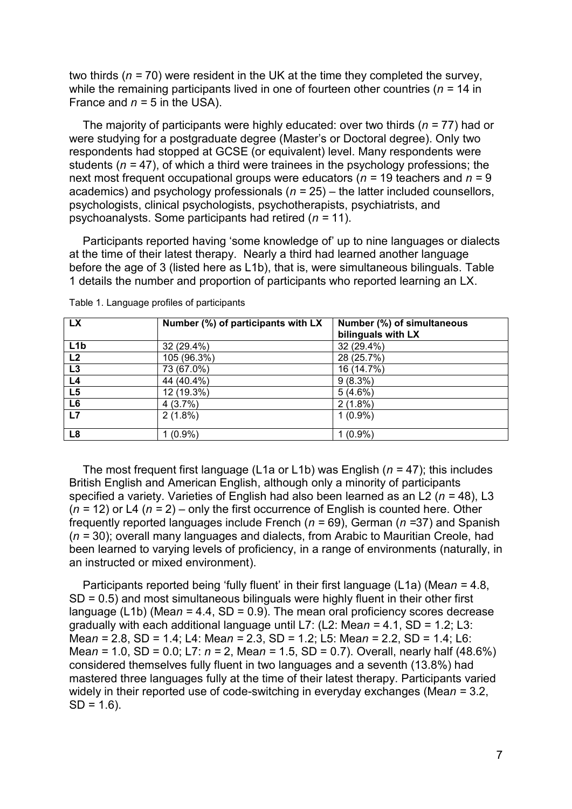two thirds (*n =* 70) were resident in the UK at the time they completed the survey, while the remaining participants lived in one of fourteen other countries (*n =* 14 in France and *n =* 5 in the USA).

The majority of participants were highly educated: over two thirds (*n =* 77) had or were studying for a postgraduate degree (Master's or Doctoral degree). Only two respondents had stopped at GCSE (or equivalent) level. Many respondents were students (*n =* 47), of which a third were trainees in the psychology professions; the next most frequent occupational groups were educators (*n =* 19 teachers and *n =* 9 academics) and psychology professionals (*n =* 25) – the latter included counsellors, psychologists, clinical psychologists, psychotherapists, psychiatrists, and psychoanalysts. Some participants had retired (*n =* 11).

Participants reported having 'some knowledge of' up to nine languages or dialects at the time of their latest therapy. Nearly a third had learned another language before the age of 3 (listed here as L1b), that is, were simultaneous bilinguals. Table 1 details the number and proportion of participants who reported learning an LX.

| <b>LX</b>      | Number (%) of participants with LX | Number (%) of simultaneous<br>bilinguals with LX |
|----------------|------------------------------------|--------------------------------------------------|
| L1b            | 32 (29.4%)                         | 32 (29.4%)                                       |
| L2             | 105 (96.3%)                        | 28 (25.7%)                                       |
| L3             | 73 (67.0%)                         | 16 (14.7%)                                       |
| L4             | 44 (40.4%)                         | $9(8.3\%)$                                       |
| L5             | 12 (19.3%)                         | $5(4.6\%)$                                       |
| L6             | 4(3.7%)                            | $2(1.8\%)$                                       |
| L7             | $2(1.8\%)$                         | $1(0.9\%)$                                       |
| L <sub>8</sub> | $1(0.9\%)$                         | $1(0.9\%)$                                       |

Table 1. Language profiles of participants

The most frequent first language (L1a or L1b) was English (*n =* 47); this includes British English and American English, although only a minority of participants specified a variety. Varieties of English had also been learned as an L2 (*n =* 48), L3 (*n =* 12) or L4 (*n =* 2) – only the first occurrence of English is counted here. Other frequently reported languages include French (*n =* 69), German (*n =*37) and Spanish (*n =* 30); overall many languages and dialects, from Arabic to Mauritian Creole, had been learned to varying levels of proficiency, in a range of environments (naturally, in an instructed or mixed environment).

Participants reported being 'fully fluent' in their first language (L1a) (Mea*n =* 4.8, SD = 0.5) and most simultaneous bilinguals were highly fluent in their other first language (L1b) (Mea*n =* 4.4, SD = 0.9). The mean oral proficiency scores decrease gradually with each additional language until L7: (L2: Mea*n =* 4.1, SD = 1.2; L3: Mea*n =* 2.8, SD = 1.4; L4: Mea*n =* 2.3, SD = 1.2; L5: Mea*n =* 2.2, SD = 1.4; L6: Mea*n =* 1.0, SD = 0.0; L7: *n =* 2, Mea*n =* 1.5, SD = 0.7). Overall, nearly half (48.6%) considered themselves fully fluent in two languages and a seventh (13.8%) had mastered three languages fully at the time of their latest therapy. Participants varied widely in their reported use of code-switching in everyday exchanges (Mea*n =* 3.2,  $SD = 1.6$ ).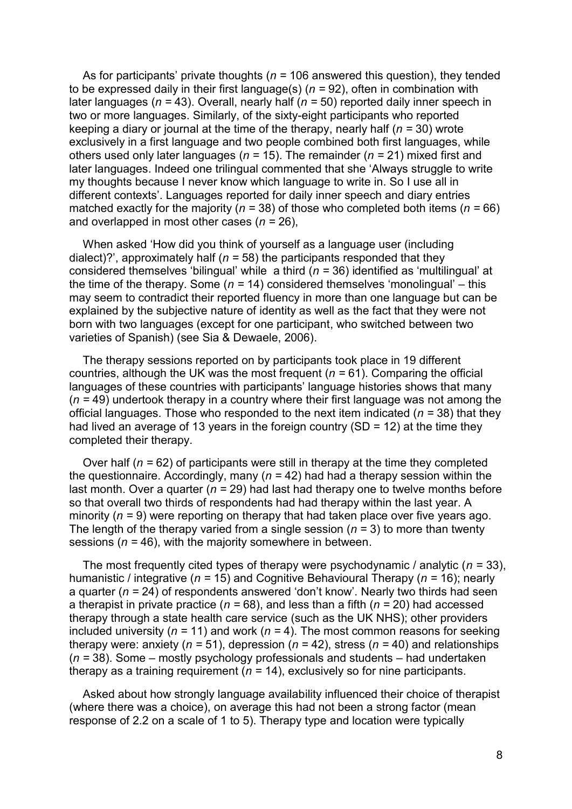As for participants' private thoughts (*n =* 106 answered this question), they tended to be expressed daily in their first language(s) (*n =* 92), often in combination with later languages (*n =* 43). Overall, nearly half (*n =* 50) reported daily inner speech in two or more languages. Similarly, of the sixty-eight participants who reported keeping a diary or journal at the time of the therapy, nearly half (*n =* 30) wrote exclusively in a first language and two people combined both first languages, while others used only later languages (*n =* 15). The remainder (*n =* 21) mixed first and later languages. Indeed one trilingual commented that she 'Always struggle to write my thoughts because I never know which language to write in. So I use all in different contexts'. Languages reported for daily inner speech and diary entries matched exactly for the majority (*n =* 38) of those who completed both items (*n =* 66) and overlapped in most other cases (*n =* 26),

When asked 'How did you think of yourself as a language user (including dialect)?', approximately half (*n =* 58) the participants responded that they considered themselves 'bilingual' while a third (*n =* 36) identified as 'multilingual' at the time of the therapy. Some (*n =* 14) considered themselves 'monolingual' – this may seem to contradict their reported fluency in more than one language but can be explained by the subjective nature of identity as well as the fact that they were not born with two languages (except for one participant, who switched between two varieties of Spanish) (see Sia & Dewaele, 2006).

The therapy sessions reported on by participants took place in 19 different countries, although the UK was the most frequent (*n =* 61). Comparing the official languages of these countries with participants' language histories shows that many (*n =* 49) undertook therapy in a country where their first language was not among the official languages. Those who responded to the next item indicated (*n =* 38) that they had lived an average of 13 years in the foreign country (SD = 12) at the time they completed their therapy.

Over half (*n =* 62) of participants were still in therapy at the time they completed the questionnaire. Accordingly, many (*n =* 42) had had a therapy session within the last month. Over a quarter (*n =* 29) had last had therapy one to twelve months before so that overall two thirds of respondents had had therapy within the last year. A minority (*n =* 9) were reporting on therapy that had taken place over five years ago. The length of the therapy varied from a single session (*n =* 3) to more than twenty sessions (*n =* 46), with the majority somewhere in between.

The most frequently cited types of therapy were psychodynamic / analytic (*n =* 33), humanistic / integrative (*n =* 15) and Cognitive Behavioural Therapy (*n =* 16); nearly a quarter (*n =* 24) of respondents answered 'don't know'. Nearly two thirds had seen a therapist in private practice (*n =* 68), and less than a fifth (*n =* 20) had accessed therapy through a state health care service (such as the UK NHS); other providers included university (*n =* 11) and work (*n =* 4). The most common reasons for seeking therapy were: anxiety (*n =* 51), depression (*n =* 42), stress (*n =* 40) and relationships (*n =* 38). Some – mostly psychology professionals and students – had undertaken therapy as a training requirement ( $n = 14$ ), exclusively so for nine participants.

Asked about how strongly language availability influenced their choice of therapist (where there was a choice), on average this had not been a strong factor (mean response of 2.2 on a scale of 1 to 5). Therapy type and location were typically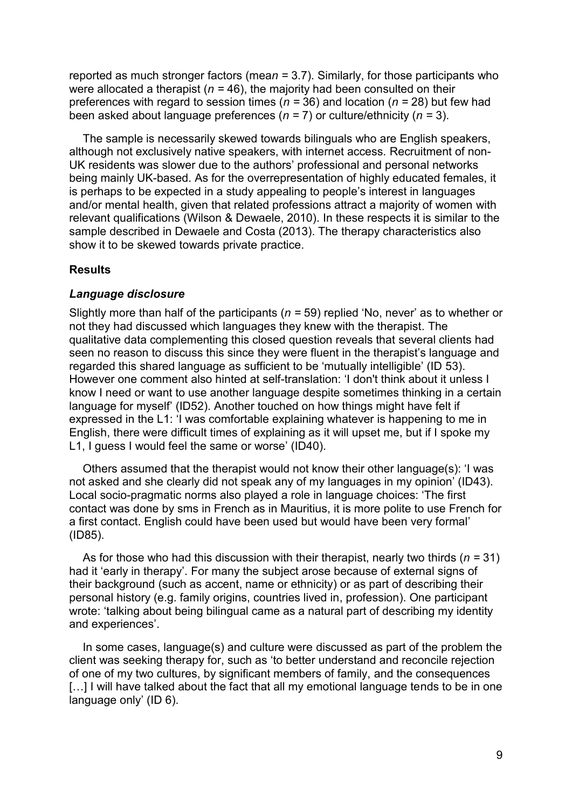reported as much stronger factors (mea*n =* 3.7). Similarly, for those participants who were allocated a therapist (*n =* 46), the majority had been consulted on their preferences with regard to session times (*n =* 36) and location (*n =* 28) but few had been asked about language preferences (*n =* 7) or culture/ethnicity (*n =* 3).

The sample is necessarily skewed towards bilinguals who are English speakers, although not exclusively native speakers, with internet access. Recruitment of non-UK residents was slower due to the authors' professional and personal networks being mainly UK-based. As for the overrepresentation of highly educated females, it is perhaps to be expected in a study appealing to people's interest in languages and/or mental health, given that related professions attract a majority of women with relevant qualifications (Wilson & Dewaele, 2010). In these respects it is similar to the sample described in Dewaele and Costa (2013). The therapy characteristics also show it to be skewed towards private practice.

#### **Results**

#### *Language disclosure*

Slightly more than half of the participants (*n =* 59) replied 'No, never' as to whether or not they had discussed which languages they knew with the therapist. The qualitative data complementing this closed question reveals that several clients had seen no reason to discuss this since they were fluent in the therapist's language and regarded this shared language as sufficient to be 'mutually intelligible' (ID 53). However one comment also hinted at self-translation: 'I don't think about it unless I know I need or want to use another language despite sometimes thinking in a certain language for myself' (ID52). Another touched on how things might have felt if expressed in the L1: 'I was comfortable explaining whatever is happening to me in English, there were difficult times of explaining as it will upset me, but if I spoke my L1, I guess I would feel the same or worse' (ID40).

Others assumed that the therapist would not know their other language(s): 'I was not asked and she clearly did not speak any of my languages in my opinion' (ID43). Local socio-pragmatic norms also played a role in language choices: 'The first contact was done by sms in French as in Mauritius, it is more polite to use French for a first contact. English could have been used but would have been very formal' (ID85).

As for those who had this discussion with their therapist, nearly two thirds (*n =* 31) had it 'early in therapy'. For many the subject arose because of external signs of their background (such as accent, name or ethnicity) or as part of describing their personal history (e.g. family origins, countries lived in, profession). One participant wrote: 'talking about being bilingual came as a natural part of describing my identity and experiences'.

In some cases, language(s) and culture were discussed as part of the problem the client was seeking therapy for, such as 'to better understand and reconcile rejection of one of my two cultures, by significant members of family, and the consequences [...] I will have talked about the fact that all my emotional language tends to be in one language only' (ID 6).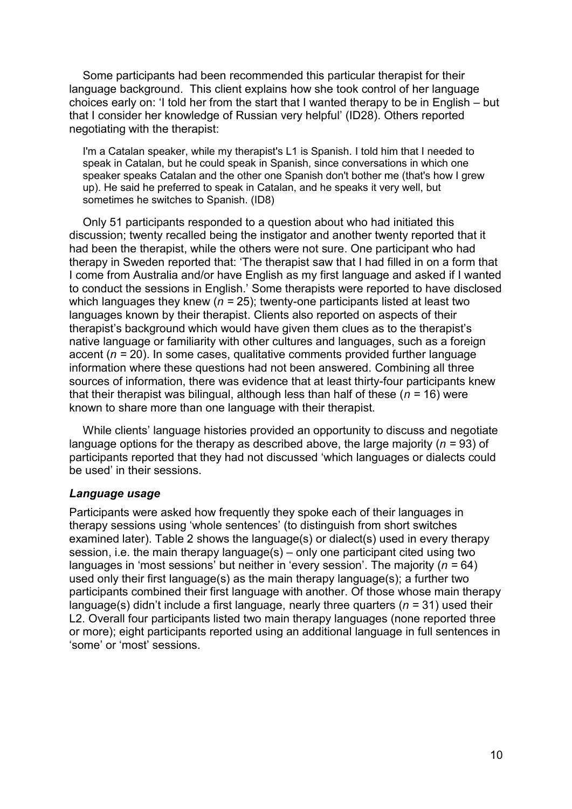Some participants had been recommended this particular therapist for their language background. This client explains how she took control of her language choices early on: 'I told her from the start that I wanted therapy to be in English – but that I consider her knowledge of Russian very helpful' (ID28). Others reported negotiating with the therapist:

I'm a Catalan speaker, while my therapist's L1 is Spanish. I told him that I needed to speak in Catalan, but he could speak in Spanish, since conversations in which one speaker speaks Catalan and the other one Spanish don't bother me (that's how I grew up). He said he preferred to speak in Catalan, and he speaks it very well, but sometimes he switches to Spanish. (ID8)

Only 51 participants responded to a question about who had initiated this discussion; twenty recalled being the instigator and another twenty reported that it had been the therapist, while the others were not sure. One participant who had therapy in Sweden reported that: 'The therapist saw that I had filled in on a form that I come from Australia and/or have English as my first language and asked if I wanted to conduct the sessions in English.' Some therapists were reported to have disclosed which languages they knew (*n =* 25); twenty-one participants listed at least two languages known by their therapist. Clients also reported on aspects of their therapist's background which would have given them clues as to the therapist's native language or familiarity with other cultures and languages, such as a foreign accent (*n =* 20). In some cases, qualitative comments provided further language information where these questions had not been answered. Combining all three sources of information, there was evidence that at least thirty-four participants knew that their therapist was bilingual, although less than half of these (*n =* 16) were known to share more than one language with their therapist.

While clients' language histories provided an opportunity to discuss and negotiate language options for the therapy as described above, the large majority (*n =* 93) of participants reported that they had not discussed 'which languages or dialects could be used' in their sessions.

#### *Language usage*

Participants were asked how frequently they spoke each of their languages in therapy sessions using 'whole sentences' (to distinguish from short switches examined later). Table 2 shows the language(s) or dialect(s) used in every therapy session, i.e. the main therapy language(s) – only one participant cited using two languages in 'most sessions' but neither in 'every session'. The majority (*n =* 64) used only their first language(s) as the main therapy language(s); a further two participants combined their first language with another. Of those whose main therapy language(s) didn't include a first language, nearly three quarters (*n =* 31) used their L2. Overall four participants listed two main therapy languages (none reported three or more); eight participants reported using an additional language in full sentences in 'some' or 'most' sessions.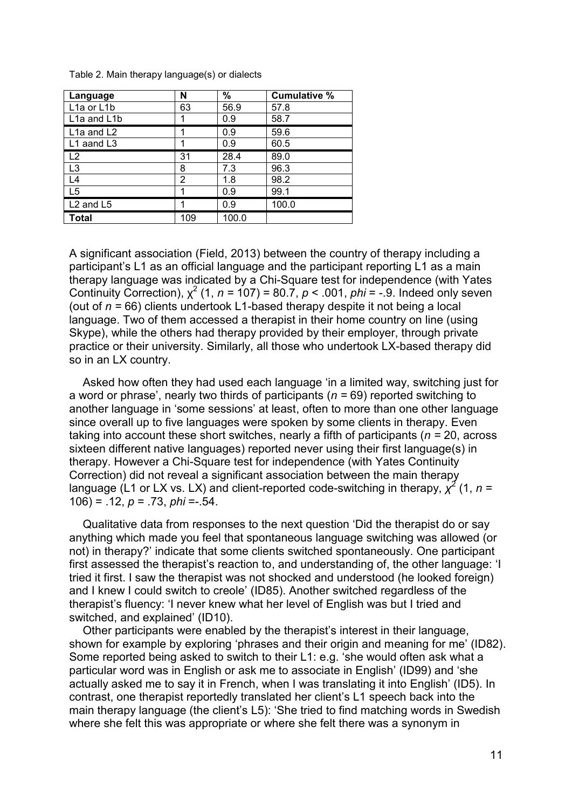| Language                             | N   | $\%$  | Cumulative % |
|--------------------------------------|-----|-------|--------------|
| L <sub>1</sub> a or L <sub>1</sub> b | 63  | 56.9  | 57.8         |
| L1a and L1b                          |     | 0.9   | 58.7         |
| $L1a$ and $L2$                       | 1   | 0.9   | 59.6         |
| L1 aand L3                           |     | 0.9   | 60.5         |
| L2                                   | 31  | 28.4  | 89.0         |
| L <sub>3</sub>                       | 8   | 7.3   | 96.3         |
| L4                                   | 2   | 1.8   | 98.2         |
| L <sub>5</sub>                       |     | 0.9   | 99.1         |
| L <sub>2</sub> and L <sub>5</sub>    | 1   | 0.9   | 100.0        |
| <b>Total</b>                         | 109 | 100.0 |              |

Table 2. Main therapy language(s) or dialects

A significant association (Field, 2013) between the country of therapy including a participant's L1 as an official language and the participant reporting L1 as a main therapy language was indicated by a Chi-Square test for independence (with Yates Continuity Correction),  $\chi^2$  (1, *n* = 107) = 80.7, *p* < .001, *phi* = -.9. Indeed only seven (out of *n =* 66) clients undertook L1-based therapy despite it not being a local language. Two of them accessed a therapist in their home country on line (using Skype), while the others had therapy provided by their employer, through private practice or their university. Similarly, all those who undertook LX-based therapy did so in an LX country.

Asked how often they had used each language 'in a limited way, switching just for a word or phrase', nearly two thirds of participants (*n =* 69) reported switching to another language in 'some sessions' at least, often to more than one other language since overall up to five languages were spoken by some clients in therapy. Even taking into account these short switches, nearly a fifth of participants (*n =* 20, across sixteen different native languages) reported never using their first language(s) in therapy. However a Chi-Square test for independence (with Yates Continuity Correction) did not reveal a significant association between the main therapy language (L1 or LX vs. LX) and client-reported code-switching in therapy,  $\chi^2$  (1, *n* = 106) = .12, *p* = .73, *phi* =-.54.

Qualitative data from responses to the next question 'Did the therapist do or say anything which made you feel that spontaneous language switching was allowed (or not) in therapy?' indicate that some clients switched spontaneously. One participant first assessed the therapist's reaction to, and understanding of, the other language: 'I tried it first. I saw the therapist was not shocked and understood (he looked foreign) and I knew I could switch to creole' (ID85). Another switched regardless of the therapist's fluency: 'I never knew what her level of English was but I tried and switched, and explained' (ID10).

Other participants were enabled by the therapist's interest in their language, shown for example by exploring 'phrases and their origin and meaning for me' (ID82). Some reported being asked to switch to their L1: e.g. 'she would often ask what a particular word was in English or ask me to associate in English' (ID99) and 'she actually asked me to say it in French, when I was translating it into English' (ID5). In contrast, one therapist reportedly translated her client's L1 speech back into the main therapy language (the client's L5): 'She tried to find matching words in Swedish where she felt this was appropriate or where she felt there was a synonym in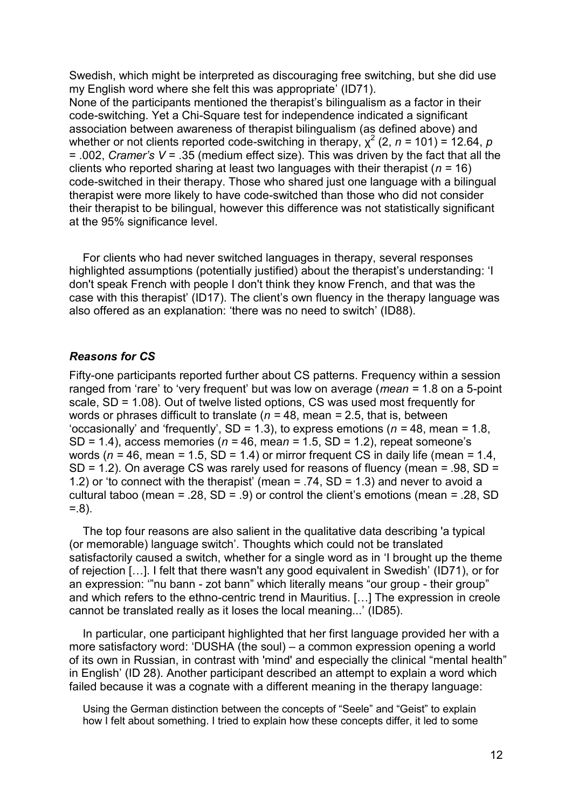Swedish, which might be interpreted as discouraging free switching, but she did use my English word where she felt this was appropriate' (ID71). None of the participants mentioned the therapist's bilingualism as a factor in their code-switching. Yet a Chi-Square test for independence indicated a significant association between awareness of therapist bilingualism (as defined above) and whether or not clients reported code-switching in therapy,  $\chi^2$  (2, *n* = 101) = 12.64, *p* = .002, *Cramer's V* = .35 (medium effect size). This was driven by the fact that all the clients who reported sharing at least two languages with their therapist (*n =* 16) code-switched in their therapy. Those who shared just one language with a bilingual therapist were more likely to have code-switched than those who did not consider their therapist to be bilingual, however this difference was not statistically significant at the 95% significance level.

For clients who had never switched languages in therapy, several responses highlighted assumptions (potentially justified) about the therapist's understanding: 'I don't speak French with people I don't think they know French, and that was the case with this therapist' (ID17). The client's own fluency in the therapy language was also offered as an explanation: 'there was no need to switch' (ID88).

#### *Reasons for CS*

Fifty-one participants reported further about CS patterns. Frequency within a session ranged from 'rare' to 'very frequent' but was low on average (*mean =* 1.8 on a 5-point scale, SD = 1.08). Out of twelve listed options, CS was used most frequently for words or phrases difficult to translate (*n =* 48, mean *=* 2.5, that is, between 'occasionally' and 'frequently', SD = 1.3), to express emotions (*n =* 48, mean *=* 1.8, SD = 1.4), access memories (*n =* 46, mea*n =* 1.5, SD = 1.2), repeat someone's words (*n =* 46, mean *=* 1.5, SD = 1.4) or mirror frequent CS in daily life (mean *=* 1.4, SD = 1.2). On average CS was rarely used for reasons of fluency (mean *=* .98, SD = 1.2) or 'to connect with the therapist' (mean *=* .74, SD = 1.3) and never to avoid a cultural taboo (mean *=* .28, SD = .9) or control the client's emotions (mean *=* .28, SD  $= .8$ ).

The top four reasons are also salient in the qualitative data describing 'a typical (or memorable) language switch'. Thoughts which could not be translated satisfactorily caused a switch, whether for a single word as in 'I brought up the theme of rejection […]. I felt that there wasn't any good equivalent in Swedish' (ID71), or for an expression: "nu bann - zot bann" which literally means "our group - their group" and which refers to the ethno-centric trend in Mauritius. […] The expression in creole cannot be translated really as it loses the local meaning...' (ID85).

In particular, one participant highlighted that her first language provided her with a more satisfactory word: 'DUSHA (the soul) – a common expression opening a world of its own in Russian, in contrast with 'mind' and especially the clinical "mental health" in English' (ID 28). Another participant described an attempt to explain a word which failed because it was a cognate with a different meaning in the therapy language:

Using the German distinction between the concepts of "Seele" and "Geist" to explain how I felt about something. I tried to explain how these concepts differ, it led to some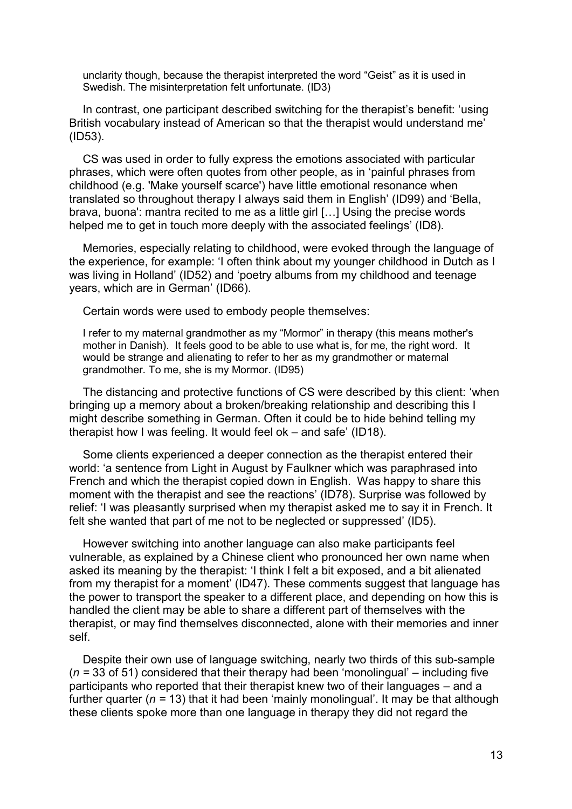unclarity though, because the therapist interpreted the word "Geist" as it is used in Swedish. The misinterpretation felt unfortunate. (ID3)

In contrast, one participant described switching for the therapist's benefit: 'using British vocabulary instead of American so that the therapist would understand me' (ID53).

CS was used in order to fully express the emotions associated with particular phrases, which were often quotes from other people, as in 'painful phrases from childhood (e.g. 'Make yourself scarce') have little emotional resonance when translated so throughout therapy I always said them in English' (ID99) and 'Bella, brava, buona': mantra recited to me as a little girl […] Using the precise words helped me to get in touch more deeply with the associated feelings' (ID8).

Memories, especially relating to childhood, were evoked through the language of the experience, for example: 'I often think about my younger childhood in Dutch as I was living in Holland' (ID52) and 'poetry albums from my childhood and teenage years, which are in German' (ID66).

Certain words were used to embody people themselves:

I refer to my maternal grandmother as my "Mormor" in therapy (this means mother's mother in Danish). It feels good to be able to use what is, for me, the right word. It would be strange and alienating to refer to her as my grandmother or maternal grandmother. To me, she is my Mormor. (ID95)

The distancing and protective functions of CS were described by this client: 'when bringing up a memory about a broken/breaking relationship and describing this I might describe something in German. Often it could be to hide behind telling my therapist how I was feeling. It would feel ok – and safe' (ID18).

Some clients experienced a deeper connection as the therapist entered their world: 'a sentence from Light in August by Faulkner which was paraphrased into French and which the therapist copied down in English. Was happy to share this moment with the therapist and see the reactions' (ID78). Surprise was followed by relief: 'I was pleasantly surprised when my therapist asked me to say it in French. It felt she wanted that part of me not to be neglected or suppressed' (ID5).

However switching into another language can also make participants feel vulnerable, as explained by a Chinese client who pronounced her own name when asked its meaning by the therapist: 'I think I felt a bit exposed, and a bit alienated from my therapist for a moment' (ID47). These comments suggest that language has the power to transport the speaker to a different place, and depending on how this is handled the client may be able to share a different part of themselves with the therapist, or may find themselves disconnected, alone with their memories and inner self.

Despite their own use of language switching, nearly two thirds of this sub-sample (*n =* 33 of 51) considered that their therapy had been 'monolingual' – including five participants who reported that their therapist knew two of their languages – and a further quarter (*n =* 13) that it had been 'mainly monolingual'. It may be that although these clients spoke more than one language in therapy they did not regard the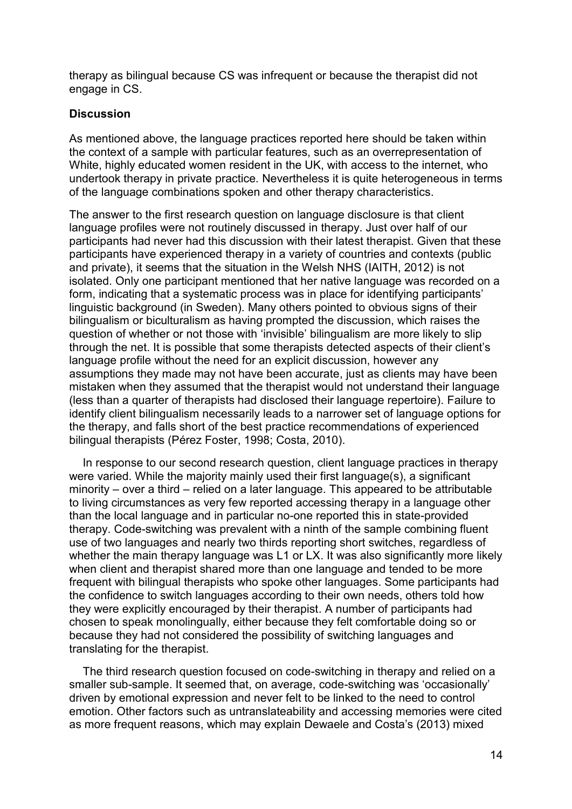therapy as bilingual because CS was infrequent or because the therapist did not engage in CS.

## **Discussion**

As mentioned above, the language practices reported here should be taken within the context of a sample with particular features, such as an overrepresentation of White, highly educated women resident in the UK, with access to the internet, who undertook therapy in private practice. Nevertheless it is quite heterogeneous in terms of the language combinations spoken and other therapy characteristics.

The answer to the first research question on language disclosure is that client language profiles were not routinely discussed in therapy. Just over half of our participants had never had this discussion with their latest therapist. Given that these participants have experienced therapy in a variety of countries and contexts (public and private), it seems that the situation in the Welsh NHS (IAITH, 2012) is not isolated. Only one participant mentioned that her native language was recorded on a form, indicating that a systematic process was in place for identifying participants' linguistic background (in Sweden). Many others pointed to obvious signs of their bilingualism or biculturalism as having prompted the discussion, which raises the question of whether or not those with 'invisible' bilingualism are more likely to slip through the net. It is possible that some therapists detected aspects of their client's language profile without the need for an explicit discussion, however any assumptions they made may not have been accurate, just as clients may have been mistaken when they assumed that the therapist would not understand their language (less than a quarter of therapists had disclosed their language repertoire). Failure to identify client bilingualism necessarily leads to a narrower set of language options for the therapy, and falls short of the best practice recommendations of experienced bilingual therapists (Pérez Foster, 1998; Costa, 2010).

In response to our second research question, client language practices in therapy were varied. While the majority mainly used their first language(s), a significant minority – over a third – relied on a later language. This appeared to be attributable to living circumstances as very few reported accessing therapy in a language other than the local language and in particular no-one reported this in state-provided therapy. Code-switching was prevalent with a ninth of the sample combining fluent use of two languages and nearly two thirds reporting short switches, regardless of whether the main therapy language was L1 or LX. It was also significantly more likely when client and therapist shared more than one language and tended to be more frequent with bilingual therapists who spoke other languages. Some participants had the confidence to switch languages according to their own needs, others told how they were explicitly encouraged by their therapist. A number of participants had chosen to speak monolingually, either because they felt comfortable doing so or because they had not considered the possibility of switching languages and translating for the therapist.

The third research question focused on code-switching in therapy and relied on a smaller sub-sample. It seemed that, on average, code-switching was 'occasionally' driven by emotional expression and never felt to be linked to the need to control emotion. Other factors such as untranslateability and accessing memories were cited as more frequent reasons, which may explain Dewaele and Costa's (2013) mixed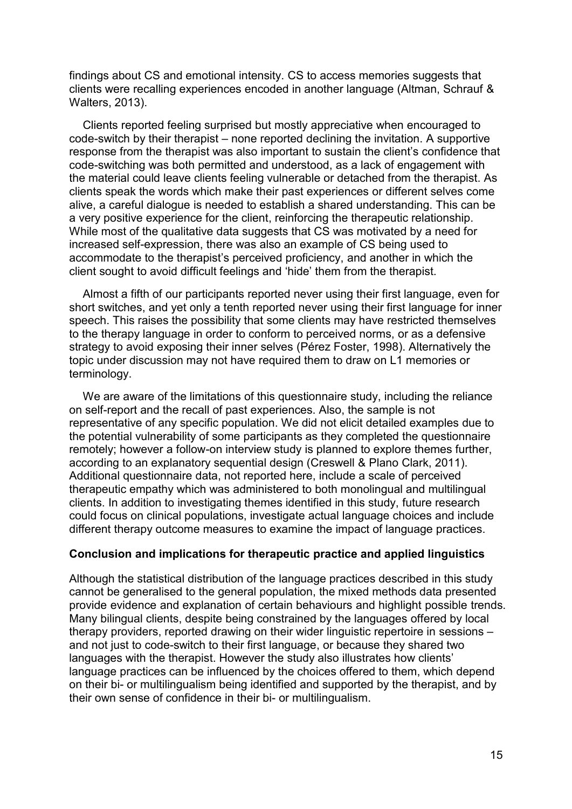findings about CS and emotional intensity. CS to access memories suggests that clients were recalling experiences encoded in another language (Altman, Schrauf & Walters, 2013).

Clients reported feeling surprised but mostly appreciative when encouraged to code-switch by their therapist – none reported declining the invitation. A supportive response from the therapist was also important to sustain the client's confidence that code-switching was both permitted and understood, as a lack of engagement with the material could leave clients feeling vulnerable or detached from the therapist. As clients speak the words which make their past experiences or different selves come alive, a careful dialogue is needed to establish a shared understanding. This can be a very positive experience for the client, reinforcing the therapeutic relationship. While most of the qualitative data suggests that CS was motivated by a need for increased self-expression, there was also an example of CS being used to accommodate to the therapist's perceived proficiency, and another in which the client sought to avoid difficult feelings and 'hide' them from the therapist.

Almost a fifth of our participants reported never using their first language, even for short switches, and yet only a tenth reported never using their first language for inner speech. This raises the possibility that some clients may have restricted themselves to the therapy language in order to conform to perceived norms, or as a defensive strategy to avoid exposing their inner selves (Pérez Foster, 1998). Alternatively the topic under discussion may not have required them to draw on L1 memories or terminology.

We are aware of the limitations of this questionnaire study, including the reliance on self-report and the recall of past experiences. Also, the sample is not representative of any specific population. We did not elicit detailed examples due to the potential vulnerability of some participants as they completed the questionnaire remotely; however a follow-on interview study is planned to explore themes further, according to an explanatory sequential design (Creswell & Plano Clark, 2011). Additional questionnaire data, not reported here, include a scale of perceived therapeutic empathy which was administered to both monolingual and multilingual clients. In addition to investigating themes identified in this study, future research could focus on clinical populations, investigate actual language choices and include different therapy outcome measures to examine the impact of language practices.

#### **Conclusion and implications for therapeutic practice and applied linguistics**

Although the statistical distribution of the language practices described in this study cannot be generalised to the general population, the mixed methods data presented provide evidence and explanation of certain behaviours and highlight possible trends. Many bilingual clients, despite being constrained by the languages offered by local therapy providers, reported drawing on their wider linguistic repertoire in sessions – and not just to code-switch to their first language, or because they shared two languages with the therapist. However the study also illustrates how clients' language practices can be influenced by the choices offered to them, which depend on their bi- or multilingualism being identified and supported by the therapist, and by their own sense of confidence in their bi- or multilingualism.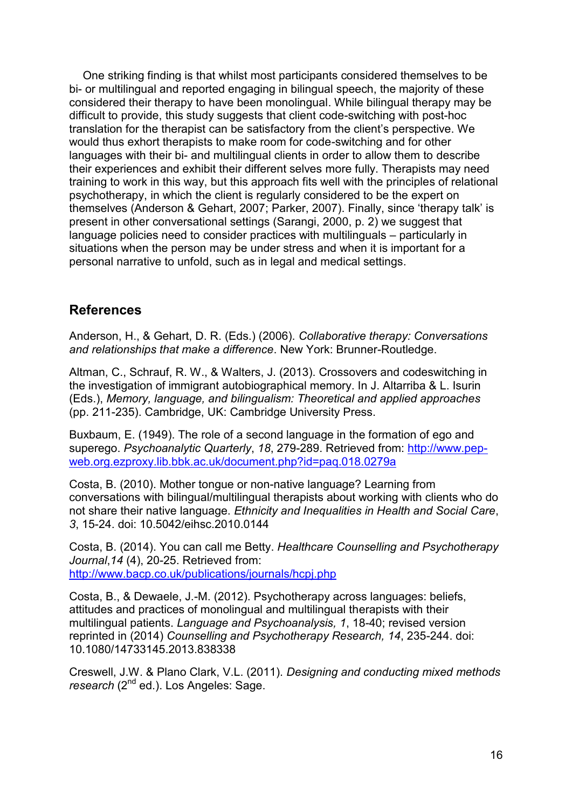One striking finding is that whilst most participants considered themselves to be bi- or multilingual and reported engaging in bilingual speech, the majority of these considered their therapy to have been monolingual. While bilingual therapy may be difficult to provide, this study suggests that client code-switching with post-hoc translation for the therapist can be satisfactory from the client's perspective. We would thus exhort therapists to make room for code-switching and for other languages with their bi- and multilingual clients in order to allow them to describe their experiences and exhibit their different selves more fully. Therapists may need training to work in this way, but this approach fits well with the principles of relational psychotherapy, in which the client is regularly considered to be the expert on themselves (Anderson & Gehart, 2007; Parker, 2007). Finally, since 'therapy talk' is present in other conversational settings (Sarangi, 2000, p. 2) we suggest that language policies need to consider practices with multilinguals – particularly in situations when the person may be under stress and when it is important for a personal narrative to unfold, such as in legal and medical settings.

# **References**

Anderson, H., & Gehart, D. R. (Eds.) (2006). *Collaborative therapy: Conversations and relationships that make a difference*. New York: Brunner-Routledge.

Altman, C., Schrauf, R. W., & Walters, J. (2013). Crossovers and codeswitching in the investigation of immigrant autobiographical memory. In J. Altarriba & L. Isurin (Eds.), *Memory, language, and bilingualism: Theoretical and applied approaches* (pp. 211-235). Cambridge, UK: Cambridge University Press.

Buxbaum, E. (1949). The role of a second language in the formation of ego and superego. *Psychoanalytic Quarterly*, *18*, 279-289. Retrieved from: [http://www.pep](http://www.pep-web.org.ezproxy.lib.bbk.ac.uk/document.php?id=paq.018.0279a)[web.org.ezproxy.lib.bbk.ac.uk/document.php?id=paq.018.0279a](http://www.pep-web.org.ezproxy.lib.bbk.ac.uk/document.php?id=paq.018.0279a)

Costa, B. (2010). Mother tongue or non-native language? Learning from conversations with bilingual/multilingual therapists about working with clients who do not share their native language. *Ethnicity and Inequalities in Health and Social Care*, *3*, 15-24. doi: 10.5042/eihsc.2010.0144

Costa, B. (2014). You can call me Betty. *Healthcare Counselling and Psychotherapy Journal*,*14* (4), 20-25. Retrieved from: <http://www.bacp.co.uk/publications/journals/hcpj.php>

Costa, B., & Dewaele, J.-M. (2012). Psychotherapy across languages: beliefs, attitudes and practices of monolingual and multilingual therapists with their multilingual patients. *Language and Psychoanalysis, 1*, 18-40; revised version reprinted in (2014) *Counselling and Psychotherapy Research, 14*, 235-244. doi: 10.1080/14733145.2013.838338

Creswell, J.W. & Plano Clark, V.L. (2011). *Designing and conducting mixed methods research* (2<sup>nd</sup> ed.). Los Angeles: Sage.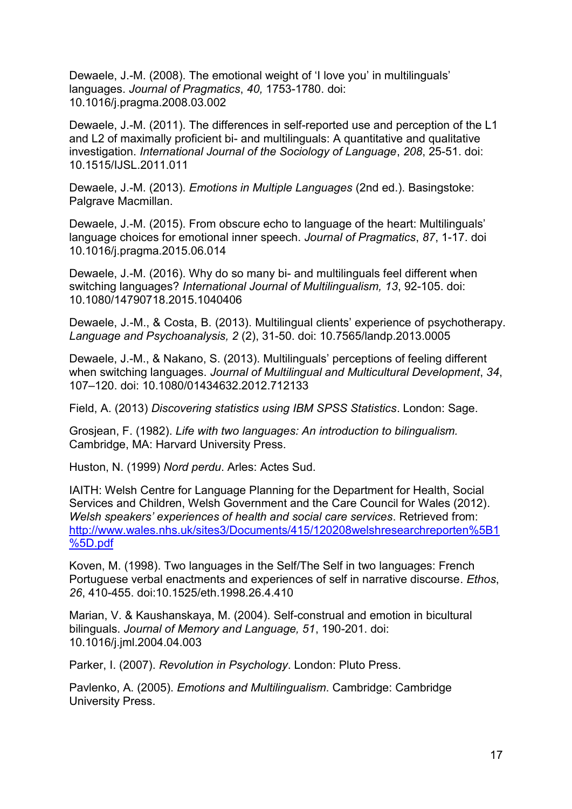Dewaele, J.-M. (2008). The emotional weight of 'I love you' in multilinguals' languages. *Journal of Pragmatics*, *40,* 1753-1780. doi: 10.1016/j.pragma.2008.03.002

Dewaele, J.-M. (2011). The differences in self-reported use and perception of the L1 and L2 of maximally proficient bi- and multilinguals: A quantitative and qualitative investigation. *International Journal of the Sociology of Language*, *208*, 25-51. doi: 10.1515/IJSL.2011.011

Dewaele, J.-M. (2013). *Emotions in Multiple Languages* (2nd ed.). Basingstoke: Palgrave Macmillan.

Dewaele, J.-M. (2015). From obscure echo to language of the heart: Multilinguals' language choices for emotional inner speech. *Journal of Pragmatics*, *87*, 1-17. doi 10.1016/j.pragma.2015.06.014

Dewaele, J.-M. (2016). Why do so many bi- and multilinguals feel different when switching languages? *International Journal of Multilingualism, 13*, 92-105. doi: 10.1080/14790718.2015.1040406

Dewaele, J.-M., & Costa, B. (2013). Multilingual clients' experience of psychotherapy. *Language and Psychoanalysis, 2* (2), 31-50. doi: 10.7565/landp.2013.0005

Dewaele, J.-M., & Nakano, S. (2013). Multilinguals' perceptions of feeling different when switching languages. *Journal of Multilingual and Multicultural Development*, *34*, 107–120. doi: 10.1080/01434632.2012.712133

Field, A. (2013) *Discovering statistics using IBM SPSS Statistics*. London: Sage.

Grosjean, F. (1982). *Life with two languages: An introduction to bilingualism.* Cambridge, MA: Harvard University Press.

Huston, N. (1999) *Nord perdu*. Arles: Actes Sud.

IAITH: Welsh Centre for Language Planning for the Department for Health, Social Services and Children, Welsh Government and the Care Council for Wales (2012). *Welsh speakers' experiences of health and social care services*. Retrieved from: [http://www.wales.nhs.uk/sites3/Documents/415/120208welshresearchreporten%5B1](http://www.wales.nhs.uk/sites3/Documents/415/120208welshresearchreporten%5B1%5D.pdf) [%5D.pdf](http://www.wales.nhs.uk/sites3/Documents/415/120208welshresearchreporten%5B1%5D.pdf)

Koven, M. (1998). Two languages in the Self/The Self in two languages: French Portuguese verbal enactments and experiences of self in narrative discourse. *Ethos*, *26*, 410-455. doi:10.1525/eth.1998.26.4.410

Marian, V. & Kaushanskaya, M. (2004). Self-construal and emotion in bicultural bilinguals. *Journal of Memory and Language, 51*, 190-201. doi: 10.1016/j.jml.2004.04.003

Parker, I. (2007). *Revolution in Psychology*. London: Pluto Press.

Pavlenko, A. (2005). *Emotions and Multilingualism*. Cambridge: Cambridge University Press.